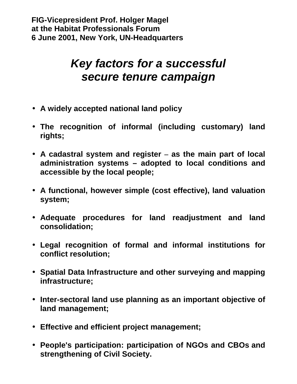## *Key factors for a successful secure tenure campaign*

- **A widely accepted national land policy**
- **The recognition of informal (including customary) land rights;**
- **A cadastral system and register – as the main part of local administration systems – adopted to local conditions and accessible by the local people;**
- **A functional, however simple (cost effective), land valuation system;**
- **Adequate procedures for land readjustment and land consolidation;**
- **Legal recognition of formal and informal institutions for conflict resolution;**
- **Spatial Data Infrastructure and other surveying and mapping infrastructure;**
- **Inter-sectoral land use planning as an important objective of land management;**
- **Effective and efficient project management;**
- **People's participation: participation of NGOs and CBOs and strengthening of Civil Society.**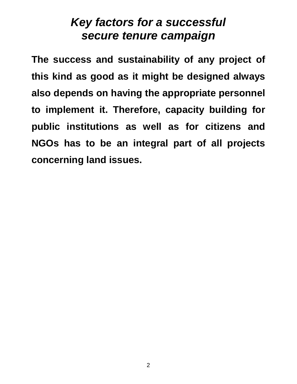### *Key factors for a successful secure tenure campaign*

**The success and sustainability of any project of this kind as good as it might be designed always also depends on having the appropriate personnel to implement it. Therefore, capacity building for public institutions as well as for citizens and NGOs has to be an integral part of all projects concerning land issues.**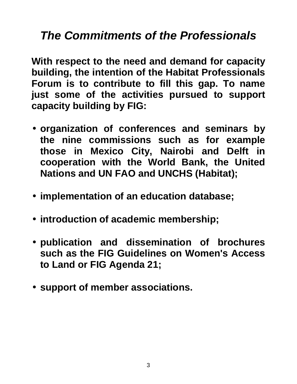# *The Commitments of the Professionals*

**With respect to the need and demand for capacity building, the intention of the Habitat Professionals Forum is to contribute to fill this gap. To name just some of the activities pursued to support capacity building by FIG:**

- **organization of conferences and seminars by the nine commissions such as for example those in Mexico City, Nairobi and Delft in cooperation with the World Bank, the United Nations and UN FAO and UNCHS (Habitat);**
- **implementation of an education database;**
- **introduction of academic membership;**
- **publication and dissemination of brochures such as the FIG Guidelines on Women's Access to Land or FIG Agenda 21;**
- **support of member associations.**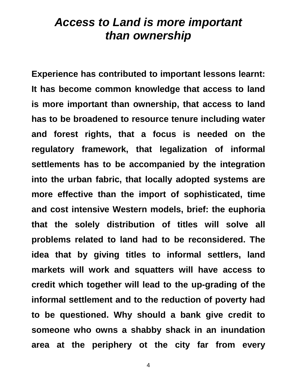#### *Access to Land is more important than ownership*

**Experience has contributed to important lessons learnt: It has become common knowledge that access to land is more important than ownership, that access to land has to be broadened to resource tenure including water and forest rights, that a focus is needed on the regulatory framework, that legalization of informal settlements has to be accompanied by the integration into the urban fabric, that locally adopted systems are more effective than the import of sophisticated, time and cost intensive Western models, brief: the euphoria that the solely distribution of titles will solve all problems related to land had to be reconsidered. The idea that by giving titles to informal settlers, land markets will work and squatters will have access to credit which together will lead to the up-grading of the informal settlement and to the reduction of poverty had to be questioned. Why should a bank give credit to someone who owns a shabby shack in an inundation area at the periphery ot the city far from every**

4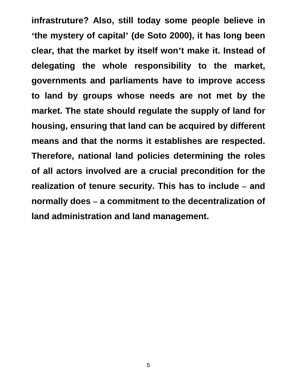**infrastruture? Also, still today some people believe in 'the mystery of capital' (de Soto 2000), it has long been clear, that the market by itself won't make it. Instead of delegating the whole responsibility to the market, governments and parliaments have to improve access to land by groups whose needs are not met by the market. The state should regulate the supply of land for housing, ensuring that land can be acquired by different means and that the norms it establishes are respected. Therefore, national land policies determining the roles of all actors involved are a crucial precondition for the realization of tenure security. This has to include – and normally does – a commitment to the decentralization of land administration and land management.**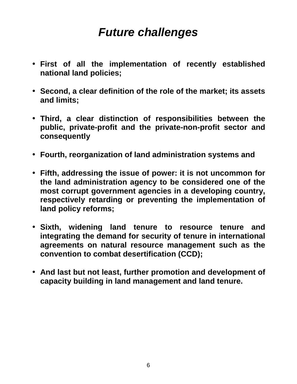# *Future challenges*

- **First of all the implementation of recently established national land policies;**
- **Second, a clear definition of the role of the market; its assets and limits;**
- **Third, a clear distinction of responsibilities between the public, private-profit and the private-non-profit sector and consequently**
- **Fourth, reorganization of land administration systems and**
- **Fifth, addressing the issue of power: it is not uncommon for the land administration agency to be considered one of the most corrupt government agencies in a developing country, respectively retarding or preventing the implementation of land policy reforms;**
- **Sixth, widening land tenure to resource tenure and integrating the demand for security of tenure in international agreements on natural resource management such as the convention to combat desertification (CCD);**
- **And last but not least, further promotion and development of capacity building in land management and land tenure.**